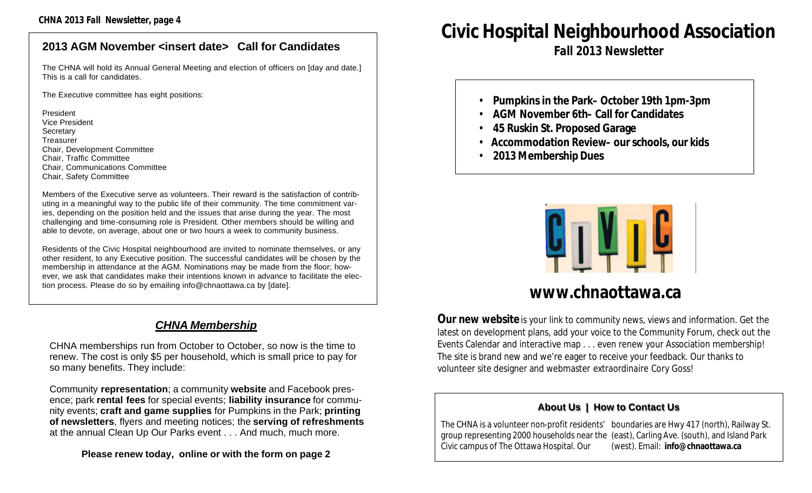#### **2013 AGM November <insert date> Call for Candidates**

The CHNA will hold its Annual General Meeting and election of officers on [day and date.] This is a call for candidates.

The Executive committee has eight positions:

President Vice President **Secretary Treasurer** Chair, Development Committee Chair, Traffic Committee Chair, Communications Committee Chair, Safety Committee

Members of the Executive serve as volunteers. Their reward is the satisfaction of contributing in a meaningful way to the public life of their community. The time commitment varies, depending on the position held and the issues that arise during the year. The most challenging and time-consuming role is President. Other members should be willing and able to devote, on average, about one or two hours a week to community business.

Residents of the Civic Hospital neighbourhood are invited to nominate themselves, or any other resident, to any Executive position. The successful candidates will be chosen by the membership in attendance at the AGM. Nominations may be made from the floor; however, we ask that candidates make their intentions known in advance to facilitate the election process. Please do so by emailing info@chnaottawa.ca by [date].

#### *CHNA Membership*

CHNA memberships run from October to October, so now is the time to renew. The cost is only \$5 per household, which is small price to pay for so many benefits. They include:

Community **representation**; a community **website** and Facebook presence; park **rental fees** for special events; **liability insurance** for community events; **craft and game supplies** for Pumpkins in the Park; **printing of newsletters**, flyers and meeting notices; the **serving of refreshments**  at the annual Clean Up Our Parks event . . . And much, much more.

**Please renew today, online or with the form on page 2**

## **Civic Hospital Neighbourhood Association**

*Fall 2013 Newsletter*

- **Pumpkins in the Park– October 19th 1pm-3pm**
- **AGM November 6th– Call for Candidates**
- **45 Ruskin St. Proposed Garage**
- • **Accommodation Review– our schools, our kids**
- **2013 Membership Dues**



## **www.chnaottawa.ca**

**Our new website** is your link to community news, views and information. Get the latest on development plans, add your voice to the Community Forum, check out the Events Calendar and interactive map . . . even renew your Association membership! The site is brand new and we're eager to receive your feedback. Our thanks to volunteer site designer and webmaster *extraordinaire* Cory Goss!

#### **About Us | How to Contact Us**

The CHNA is a volunteer non-profit residents' boundaries are Hwy 417 (north), Railway St. group representing 2000 households near the (east), Carling Ave. (south), and Island Park Civic campus of The Ottawa Hospital. Our (west). Email: **info@chnaottawa.ca**